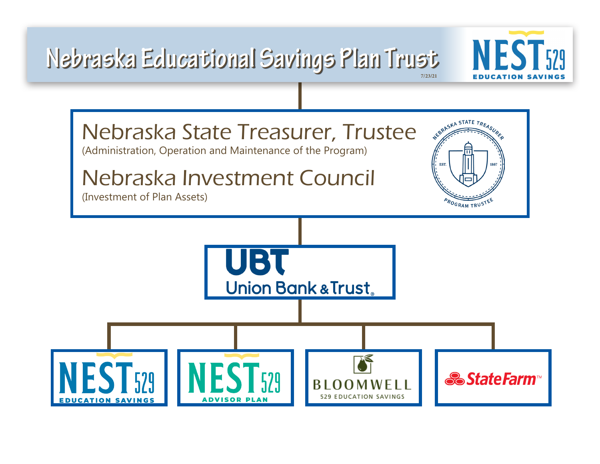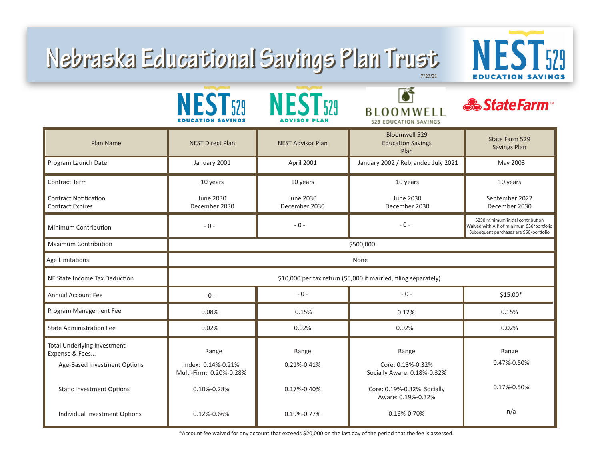## **7/23/21 Nebraska Educational Savings Plan Trust Nebraska Educational Savings Plan Trust**



|                                                                                      | NEST <sub>529</sub><br><b>EDUCATION SAVINGS</b>                 | <b>NEST529</b><br>ADVISOR PLAN | <b>BLOOMWELL</b><br>529 EDUCATION SAVINGS                 | <b>&amp; StateFarm</b>                                                                                                     |  |
|--------------------------------------------------------------------------------------|-----------------------------------------------------------------|--------------------------------|-----------------------------------------------------------|----------------------------------------------------------------------------------------------------------------------------|--|
| Plan Name                                                                            | <b>NEST Direct Plan</b>                                         | <b>NEST Advisor Plan</b>       | <b>Bloomwell 529</b><br><b>Education Savings</b><br>Plan  | State Farm 529<br><b>Savings Plan</b>                                                                                      |  |
| Program Launch Date                                                                  | January 2001                                                    | April 2001                     | January 2002 / Rebranded July 2021                        | May 2003                                                                                                                   |  |
| <b>Contract Term</b>                                                                 | 10 years                                                        | 10 years                       | 10 years                                                  | 10 years                                                                                                                   |  |
| <b>Contract Notification</b><br><b>Contract Expires</b>                              | June 2030<br>December 2030                                      | June 2030<br>December 2030     | <b>June 2030</b><br>December 2030                         | September 2022<br>December 2030                                                                                            |  |
| Minimum Contribution                                                                 | $-0-$                                                           | $-0-$                          | $-0-$                                                     | \$250 minimum initial contribution<br>Waived with AIP of minimum \$50/portfolio<br>Subsequent purchases are \$50/portfolio |  |
| <b>Maximum Contribution</b>                                                          | \$500,000                                                       |                                |                                                           |                                                                                                                            |  |
| Age Limitations                                                                      | None                                                            |                                |                                                           |                                                                                                                            |  |
| NE State Income Tax Deduction                                                        | \$10,000 per tax return (\$5,000 if married, filing separately) |                                |                                                           |                                                                                                                            |  |
| <b>Annual Account Fee</b>                                                            | $-0-$                                                           | $-0-$                          | $-0-$                                                     | $$15.00*$                                                                                                                  |  |
| Program Management Fee                                                               | 0.08%                                                           | 0.15%                          | 0.12%                                                     | 0.15%                                                                                                                      |  |
| <b>State Administration Fee</b>                                                      | 0.02%                                                           | 0.02%                          | 0.02%                                                     | 0.02%                                                                                                                      |  |
| <b>Total Underlying Investment</b><br>Expense & Fees<br>Age-Based Investment Options | Range<br>Index: 0.14%-0.21%<br>Multi-Firm: 0.20%-0.28%          | Range<br>0.21%-0.41%           | Range<br>Core: 0.18%-0.32%<br>Socially Aware: 0.18%-0.32% | Range<br>0.47%-0.50%                                                                                                       |  |
| <b>Static Investment Options</b>                                                     | 0.10%-0.28%                                                     | 0.17%-0.40%                    | Core: 0.19%-0.32% Socially<br>Aware: 0.19%-0.32%          | 0.17%-0.50%                                                                                                                |  |
| Individual Investment Options                                                        | 0.12%-0.66%                                                     | 0.19%-0.77%                    | 0.16%-0.70%                                               | n/a                                                                                                                        |  |

\*Account fee waived for any account that exceeds \$20,000 on the last day of the period that the fee is assessed.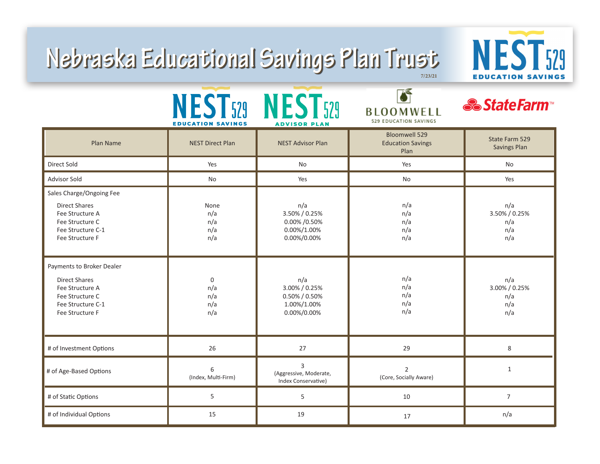## **7/23/21 Nebraska Educational Savings Plan Trust Nebraska Educational Savings Plan Trust**



|                                                                                                                                 | <b>EDUCATION SAVINGS</b>                | NEST529 NEST529<br><b>ADVISOR PLAN</b>                              | <b>BLOOMWELL</b><br>529 EDUCATION SAVINGS                | <b><i>&amp;StateFarm</i></b>              |
|---------------------------------------------------------------------------------------------------------------------------------|-----------------------------------------|---------------------------------------------------------------------|----------------------------------------------------------|-------------------------------------------|
| Plan Name                                                                                                                       | <b>NEST Direct Plan</b>                 | <b>NEST Advisor Plan</b>                                            | <b>Bloomwell 529</b><br><b>Education Savings</b><br>Plan | State Farm 529<br><b>Savings Plan</b>     |
| Direct Sold                                                                                                                     | Yes                                     | No                                                                  | Yes                                                      | No                                        |
| <b>Advisor Sold</b>                                                                                                             | No                                      | Yes                                                                 | <b>No</b>                                                | Yes                                       |
| Sales Charge/Ongoing Fee<br><b>Direct Shares</b><br>Fee Structure A<br>Fee Structure C<br>Fee Structure C-1<br>Fee Structure F  | None<br>n/a<br>n/a<br>n/a<br>n/a        | n/a<br>3.50% / 0.25%<br>0.00% / 0.50%<br>0.00%/1.00%<br>0.00%/0.00% | n/a<br>n/a<br>n/a<br>n/a<br>n/a                          | n/a<br>3.50% / 0.25%<br>n/a<br>n/a<br>n/a |
| Payments to Broker Dealer<br><b>Direct Shares</b><br>Fee Structure A<br>Fee Structure C<br>Fee Structure C-1<br>Fee Structure F | $\mathbf 0$<br>n/a<br>n/a<br>n/a<br>n/a | n/a<br>3.00% / 0.25%<br>0.50% / 0.50%<br>1.00%/1.00%<br>0.00%/0.00% | n/a<br>n/a<br>n/a<br>n/a<br>n/a                          | n/a<br>3.00% / 0.25%<br>n/a<br>n/a<br>n/a |
| # of Investment Options                                                                                                         | 26                                      | 27                                                                  | 29                                                       | 8                                         |
| # of Age-Based Options                                                                                                          | 6<br>(Index, Multi-Firm)                | 3<br>(Aggressive, Moderate,<br>Index Conservative)                  | $\overline{2}$<br>(Core, Socially Aware)                 | $\mathbf{1}$                              |
| # of Static Options                                                                                                             | 5                                       | 5                                                                   | 10                                                       | $\overline{7}$                            |
| # of Individual Options                                                                                                         | 15                                      | 19                                                                  | 17                                                       | n/a                                       |